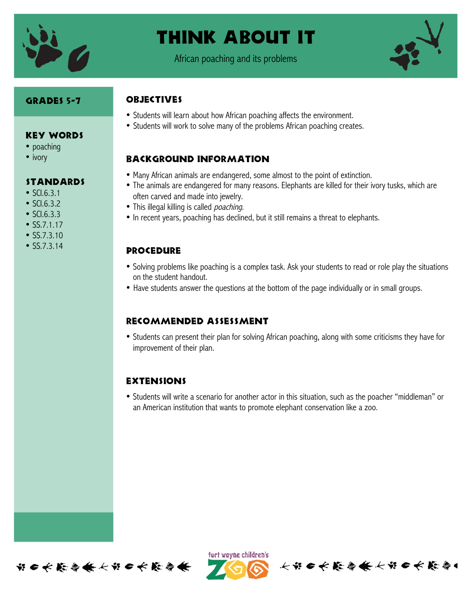

## Think About It

African poaching and its problems



#### Grades 5-7

Key Words

**STANDARDS** 

• poaching • ivory

• SCI.6.3.1 • SCI.6.3.2  $\bullet$  SCL6.3.3 • SS.7.1.17 • SS.7.3.10 • SS.7.3.14

#### **OBJECTIVES**

- Students will learn about how African poaching affects the environment.
- Students will work to solve many of the problems African poaching creates.

#### Background information

- Many African animals are endangered, some almost to the point of extinction.
- The animals are endangered for many reasons. Elephants are killed for their ivory tusks, which are often carved and made into jewelry.
- This illegal killing is called *poaching*.
- In recent years, poaching has declined, but it still remains a threat to elephants.

#### **PROCEDURE**

- Solving problems like poaching is a complex task. Ask your students to read or role play the situations on the student handout.
- Have students answer the questions at the bottom of the page individually or in small groups.

#### Recommended assessment

• Students can present their plan for solving African poaching, along with some criticisms they have for improvement of their plan.

#### **EXTENSIONS**

• Students will write a scenario for another actor in this situation, such as the poacher "middleman" or an American institution that wants to promote elephant conservation like a zoo.



ført wayne children's

长节日长能与长长节日长能与